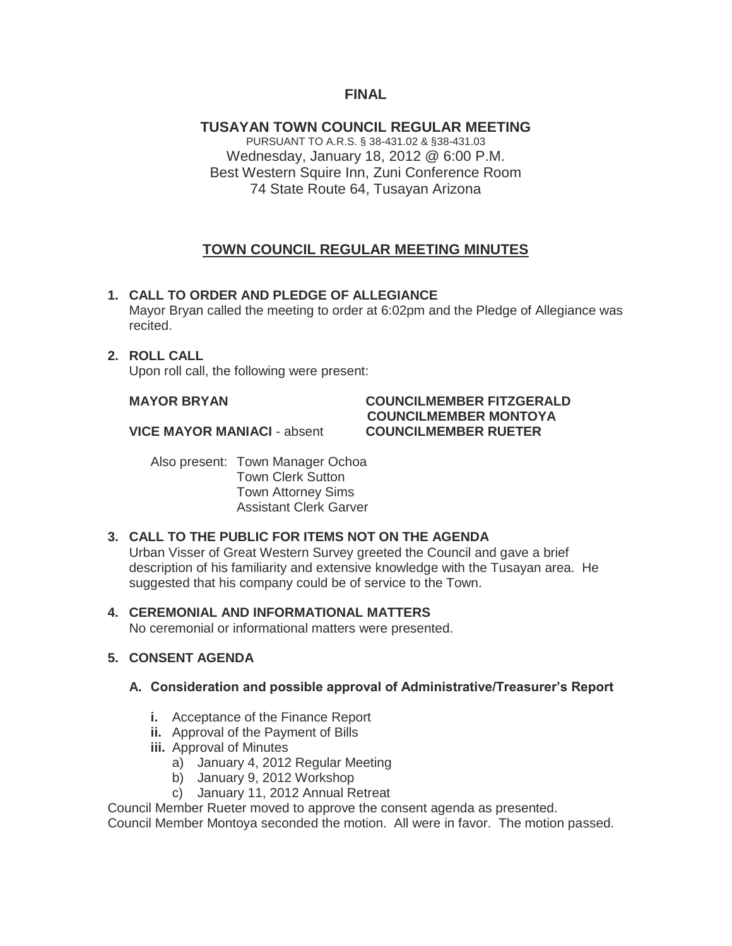# **FINAL**

**TUSAYAN TOWN COUNCIL REGULAR MEETING** PURSUANT TO A.R.S. § 38-431.02 & §38-431.03 Wednesday, January 18, 2012 @ 6:00 P.M. Best Western Squire Inn, Zuni Conference Room 74 State Route 64, Tusayan Arizona

# **TOWN COUNCIL REGULAR MEETING MINUTES**

#### **1. CALL TO ORDER AND PLEDGE OF ALLEGIANCE**

Mayor Bryan called the meeting to order at 6:02pm and the Pledge of Allegiance was recited.

#### **2. ROLL CALL**

Upon roll call, the following were present:

# **MAYOR BRYAN COUNCILMEMBER FITZGERALD COUNCILMEMBER MONTOYA**

**VICE MAYOR MANIACI** - absent **COUNCILMEMBER RUETER**

Also present: Town Manager Ochoa Town Clerk Sutton Town Attorney Sims Assistant Clerk Garver

#### **3. CALL TO THE PUBLIC FOR ITEMS NOT ON THE AGENDA**

Urban Visser of Great Western Survey greeted the Council and gave a brief description of his familiarity and extensive knowledge with the Tusayan area. He suggested that his company could be of service to the Town.

#### **4. CEREMONIAL AND INFORMATIONAL MATTERS**

No ceremonial or informational matters were presented.

### **5. CONSENT AGENDA**

#### **A. Consideration and possible approval of Administrative/Treasurer's Report**

- **i.** Acceptance of the Finance Report
- **ii.** Approval of the Payment of Bills
- **iii.** Approval of Minutes
	- a) January 4, 2012 Regular Meeting
	- b) January 9, 2012 Workshop
	- c) January 11, 2012 Annual Retreat

Council Member Rueter moved to approve the consent agenda as presented.

Council Member Montoya seconded the motion. All were in favor. The motion passed.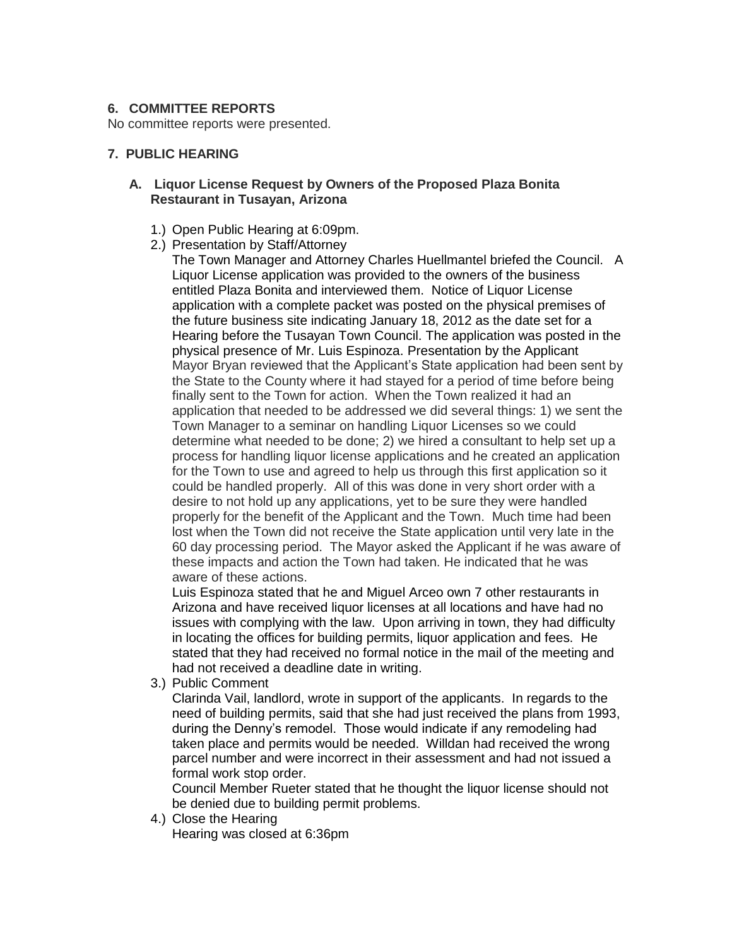#### **6. COMMITTEE REPORTS**

No committee reports were presented.

#### **7. PUBLIC HEARING**

#### **A. Liquor License Request by Owners of the Proposed Plaza Bonita Restaurant in Tusayan, Arizona**

- 1.) Open Public Hearing at 6:09pm.
- 2.) Presentation by Staff/Attorney

The Town Manager and Attorney Charles Huellmantel briefed the Council. A Liquor License application was provided to the owners of the business entitled Plaza Bonita and interviewed them. Notice of Liquor License application with a complete packet was posted on the physical premises of the future business site indicating January 18, 2012 as the date set for a Hearing before the Tusayan Town Council. The application was posted in the physical presence of Mr. Luis Espinoza. Presentation by the Applicant Mayor Bryan reviewed that the Applicant's State application had been sent by the State to the County where it had stayed for a period of time before being finally sent to the Town for action. When the Town realized it had an application that needed to be addressed we did several things: 1) we sent the Town Manager to a seminar on handling Liquor Licenses so we could determine what needed to be done; 2) we hired a consultant to help set up a process for handling liquor license applications and he created an application for the Town to use and agreed to help us through this first application so it could be handled properly. All of this was done in very short order with a desire to not hold up any applications, yet to be sure they were handled properly for the benefit of the Applicant and the Town. Much time had been lost when the Town did not receive the State application until very late in the 60 day processing period. The Mayor asked the Applicant if he was aware of these impacts and action the Town had taken. He indicated that he was aware of these actions.

Luis Espinoza stated that he and Miguel Arceo own 7 other restaurants in Arizona and have received liquor licenses at all locations and have had no issues with complying with the law. Upon arriving in town, they had difficulty in locating the offices for building permits, liquor application and fees. He stated that they had received no formal notice in the mail of the meeting and had not received a deadline date in writing.

3.) Public Comment

Clarinda Vail, landlord, wrote in support of the applicants. In regards to the need of building permits, said that she had just received the plans from 1993, during the Denny's remodel. Those would indicate if any remodeling had taken place and permits would be needed. Willdan had received the wrong parcel number and were incorrect in their assessment and had not issued a formal work stop order.

Council Member Rueter stated that he thought the liquor license should not be denied due to building permit problems.

4.) Close the Hearing

Hearing was closed at 6:36pm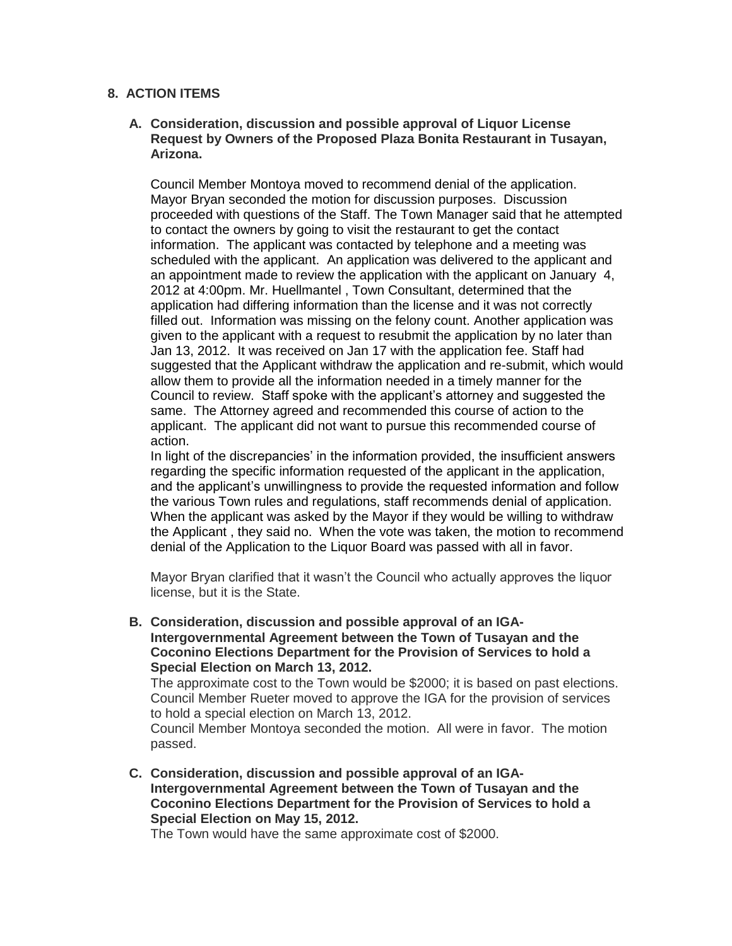#### **8. ACTION ITEMS**

#### **A. Consideration, discussion and possible approval of Liquor License Request by Owners of the Proposed Plaza Bonita Restaurant in Tusayan, Arizona.**

Council Member Montoya moved to recommend denial of the application. Mayor Bryan seconded the motion for discussion purposes. Discussion proceeded with questions of the Staff. The Town Manager said that he attempted to contact the owners by going to visit the restaurant to get the contact information. The applicant was contacted by telephone and a meeting was scheduled with the applicant. An application was delivered to the applicant and an appointment made to review the application with the applicant on January 4, 2012 at 4:00pm. Mr. Huellmantel , Town Consultant, determined that the application had differing information than the license and it was not correctly filled out. Information was missing on the felony count. Another application was given to the applicant with a request to resubmit the application by no later than Jan 13, 2012. It was received on Jan 17 with the application fee. Staff had suggested that the Applicant withdraw the application and re-submit, which would allow them to provide all the information needed in a timely manner for the Council to review. Staff spoke with the applicant's attorney and suggested the same. The Attorney agreed and recommended this course of action to the applicant. The applicant did not want to pursue this recommended course of action.

In light of the discrepancies' in the information provided, the insufficient answers regarding the specific information requested of the applicant in the application, and the applicant's unwillingness to provide the requested information and follow the various Town rules and regulations, staff recommends denial of application. When the applicant was asked by the Mayor if they would be willing to withdraw the Applicant , they said no. When the vote was taken, the motion to recommend denial of the Application to the Liquor Board was passed with all in favor.

Mayor Bryan clarified that it wasn't the Council who actually approves the liquor license, but it is the State.

**B. Consideration, discussion and possible approval of an IGA-Intergovernmental Agreement between the Town of Tusayan and the Coconino Elections Department for the Provision of Services to hold a Special Election on March 13, 2012.**

The approximate cost to the Town would be \$2000; it is based on past elections. Council Member Rueter moved to approve the IGA for the provision of services to hold a special election on March 13, 2012.

Council Member Montoya seconded the motion. All were in favor. The motion passed.

**C. Consideration, discussion and possible approval of an IGA-Intergovernmental Agreement between the Town of Tusayan and the Coconino Elections Department for the Provision of Services to hold a Special Election on May 15, 2012.**

The Town would have the same approximate cost of \$2000.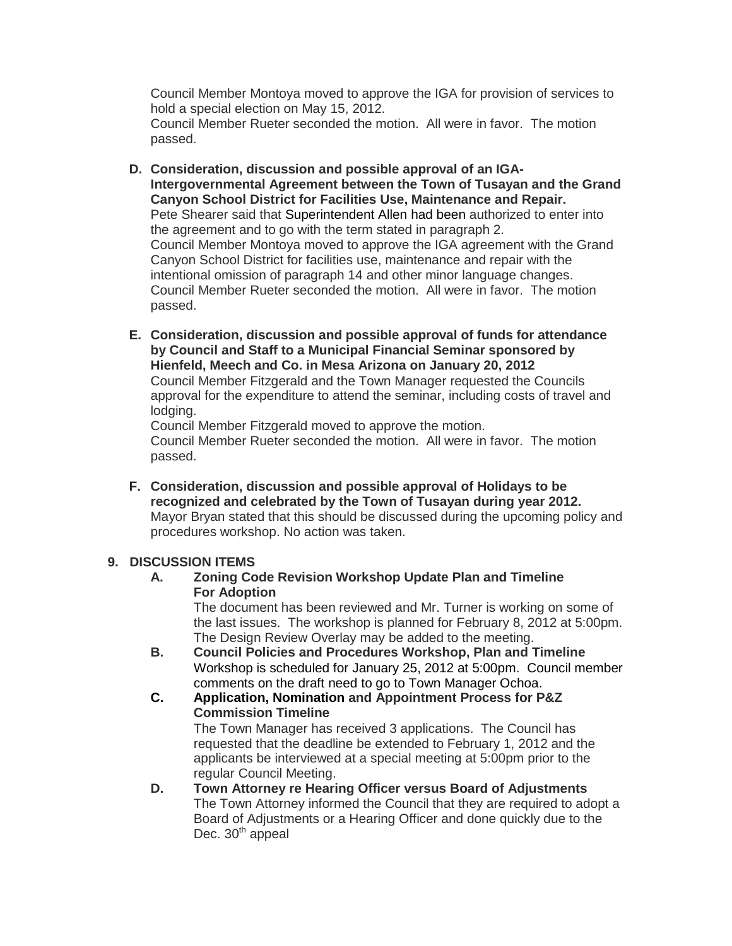Council Member Montoya moved to approve the IGA for provision of services to hold a special election on May 15, 2012. Council Member Rueter seconded the motion. All were in favor. The motion passed.

- **D. Consideration, discussion and possible approval of an IGA-Intergovernmental Agreement between the Town of Tusayan and the Grand Canyon School District for Facilities Use, Maintenance and Repair.** Pete Shearer said that Superintendent Allen had been authorized to enter into the agreement and to go with the term stated in paragraph 2. Council Member Montoya moved to approve the IGA agreement with the Grand Canyon School District for facilities use, maintenance and repair with the intentional omission of paragraph 14 and other minor language changes. Council Member Rueter seconded the motion. All were in favor. The motion passed.
- **E. Consideration, discussion and possible approval of funds for attendance by Council and Staff to a Municipal Financial Seminar sponsored by Hienfeld, Meech and Co. in Mesa Arizona on January 20, 2012** Council Member Fitzgerald and the Town Manager requested the Councils approval for the expenditure to attend the seminar, including costs of travel and lodging. Council Member Fitzgerald moved to approve the motion.

Council Member Rueter seconded the motion. All were in favor. The motion passed.

**F. Consideration, discussion and possible approval of Holidays to be recognized and celebrated by the Town of Tusayan during year 2012.** Mayor Bryan stated that this should be discussed during the upcoming policy and procedures workshop. No action was taken.

#### **9. DISCUSSION ITEMS**

#### **A. Zoning Code Revision Workshop Update Plan and Timeline For Adoption**

The document has been reviewed and Mr. Turner is working on some of the last issues. The workshop is planned for February 8, 2012 at 5:00pm. The Design Review Overlay may be added to the meeting.

**B. Council Policies and Procedures Workshop, Plan and Timeline** Workshop is scheduled for January 25, 2012 at 5:00pm. Council member comments on the draft need to go to Town Manager Ochoa.

**C. Application, Nomination and Appointment Process for P&Z Commission Timeline** The Town Manager has received 3 applications. The Council has requested that the deadline be extended to February 1, 2012 and the applicants be interviewed at a special meeting at 5:00pm prior to the regular Council Meeting.

**D. Town Attorney re Hearing Officer versus Board of Adjustments** The Town Attorney informed the Council that they are required to adopt a Board of Adjustments or a Hearing Officer and done quickly due to the Dec.  $30<sup>th</sup>$  appeal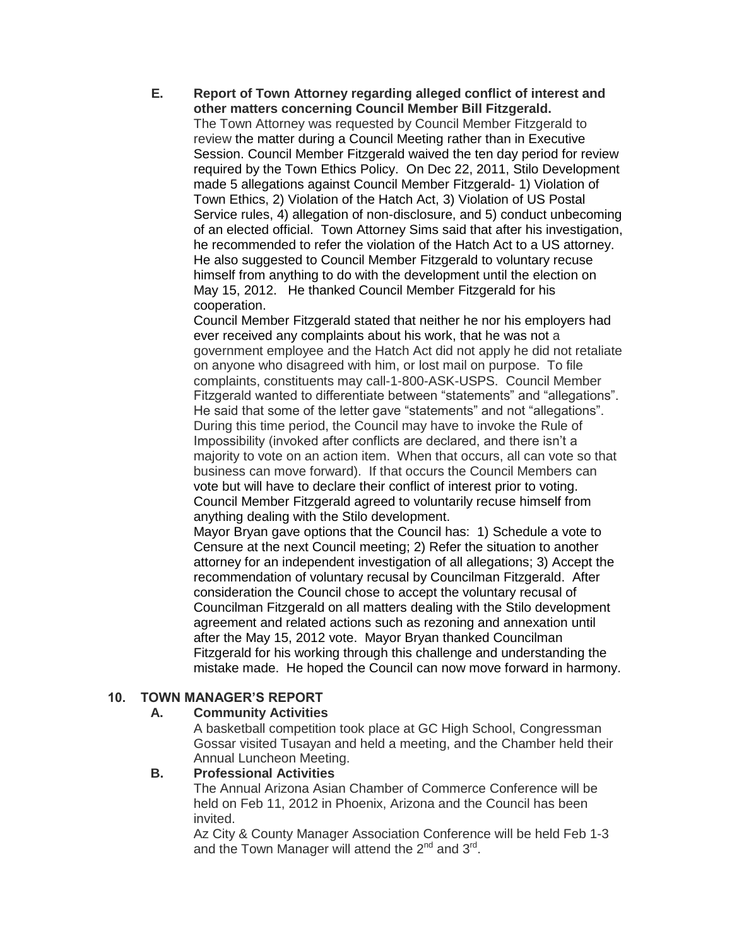**E. Report of Town Attorney regarding alleged conflict of interest and other matters concerning Council Member Bill Fitzgerald.** The Town Attorney was requested by Council Member Fitzgerald to review the matter during a Council Meeting rather than in Executive Session. Council Member Fitzgerald waived the ten day period for review required by the Town Ethics Policy. On Dec 22, 2011, Stilo Development made 5 allegations against Council Member Fitzgerald- 1) Violation of Town Ethics, 2) Violation of the Hatch Act, 3) Violation of US Postal Service rules, 4) allegation of non-disclosure, and 5) conduct unbecoming of an elected official. Town Attorney Sims said that after his investigation, he recommended to refer the violation of the Hatch Act to a US attorney. He also suggested to Council Member Fitzgerald to voluntary recuse himself from anything to do with the development until the election on May 15, 2012. He thanked Council Member Fitzgerald for his cooperation.

Council Member Fitzgerald stated that neither he nor his employers had ever received any complaints about his work, that he was not a government employee and the Hatch Act did not apply he did not retaliate on anyone who disagreed with him, or lost mail on purpose. To file complaints, constituents may call-1-800-ASK-USPS. Council Member Fitzgerald wanted to differentiate between "statements" and "allegations". He said that some of the letter gave "statements" and not "allegations". During this time period, the Council may have to invoke the Rule of Impossibility (invoked after conflicts are declared, and there isn't a majority to vote on an action item. When that occurs, all can vote so that business can move forward). If that occurs the Council Members can vote but will have to declare their conflict of interest prior to voting. Council Member Fitzgerald agreed to voluntarily recuse himself from anything dealing with the Stilo development.

Mayor Bryan gave options that the Council has: 1) Schedule a vote to Censure at the next Council meeting; 2) Refer the situation to another attorney for an independent investigation of all allegations; 3) Accept the recommendation of voluntary recusal by Councilman Fitzgerald. After consideration the Council chose to accept the voluntary recusal of Councilman Fitzgerald on all matters dealing with the Stilo development agreement and related actions such as rezoning and annexation until after the May 15, 2012 vote. Mayor Bryan thanked Councilman Fitzgerald for his working through this challenge and understanding the mistake made. He hoped the Council can now move forward in harmony.

#### **10. TOWN MANAGER'S REPORT**

#### **A. Community Activities**

A basketball competition took place at GC High School, Congressman Gossar visited Tusayan and held a meeting, and the Chamber held their Annual Luncheon Meeting.

#### **B. Professional Activities**

The Annual Arizona Asian Chamber of Commerce Conference will be held on Feb 11, 2012 in Phoenix, Arizona and the Council has been invited.

Az City & County Manager Association Conference will be held Feb 1-3 and the Town Manager will attend the  $2^{nd}$  and  $3^{rd}$ .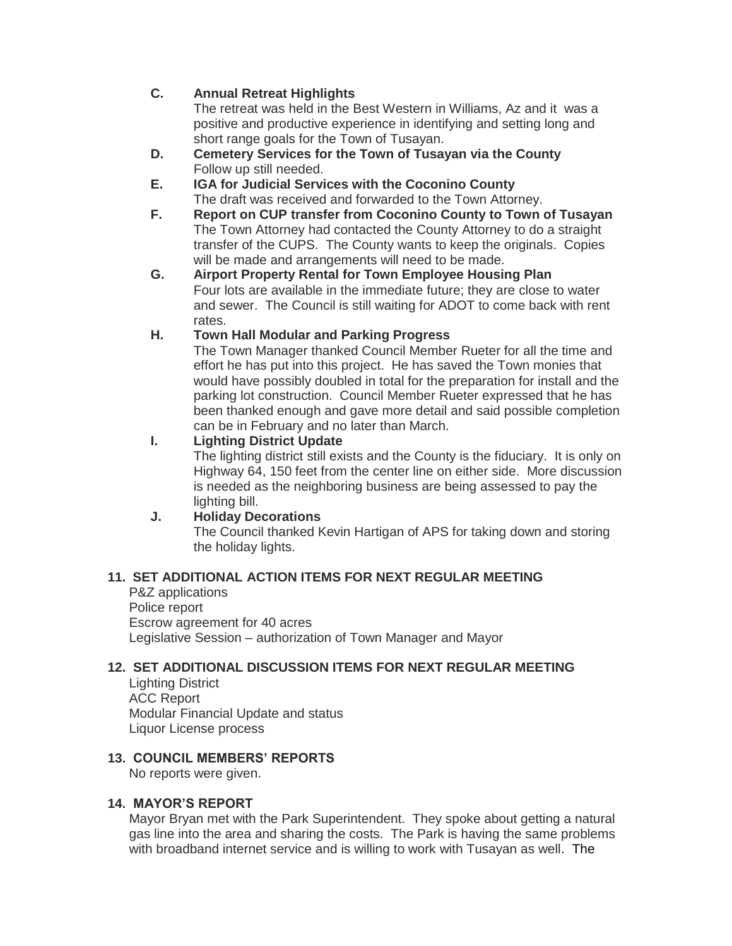### **C. Annual Retreat Highlights**

The retreat was held in the Best Western in Williams, Az and it was a positive and productive experience in identifying and setting long and short range goals for the Town of Tusayan.

- **D. Cemetery Services for the Town of Tusayan via the County** Follow up still needed.
- **E. IGA for Judicial Services with the Coconino County** The draft was received and forwarded to the Town Attorney.
- **F. Report on CUP transfer from Coconino County to Town of Tusayan** The Town Attorney had contacted the County Attorney to do a straight transfer of the CUPS. The County wants to keep the originals. Copies will be made and arrangements will need to be made.
- **G. Airport Property Rental for Town Employee Housing Plan** Four lots are available in the immediate future; they are close to water and sewer. The Council is still waiting for ADOT to come back with rent rates.

### **H. Town Hall Modular and Parking Progress**

The Town Manager thanked Council Member Rueter for all the time and effort he has put into this project. He has saved the Town monies that would have possibly doubled in total for the preparation for install and the parking lot construction. Council Member Rueter expressed that he has been thanked enough and gave more detail and said possible completion can be in February and no later than March.

# **I. Lighting District Update**

The lighting district still exists and the County is the fiduciary. It is only on Highway 64, 150 feet from the center line on either side. More discussion is needed as the neighboring business are being assessed to pay the lighting bill.

# **J. Holiday Decorations**

The Council thanked Kevin Hartigan of APS for taking down and storing the holiday lights.

# **11. SET ADDITIONAL ACTION ITEMS FOR NEXT REGULAR MEETING**

P&Z applications Police report Escrow agreement for 40 acres Legislative Session – authorization of Town Manager and Mayor

# **12. SET ADDITIONAL DISCUSSION ITEMS FOR NEXT REGULAR MEETING**

Lighting District ACC Report Modular Financial Update and status Liquor License process

# **13. COUNCIL MEMBERS' REPORTS**

No reports were given.

#### **14. MAYOR'S REPORT**

Mayor Bryan met with the Park Superintendent. They spoke about getting a natural gas line into the area and sharing the costs. The Park is having the same problems with broadband internet service and is willing to work with Tusayan as well. The